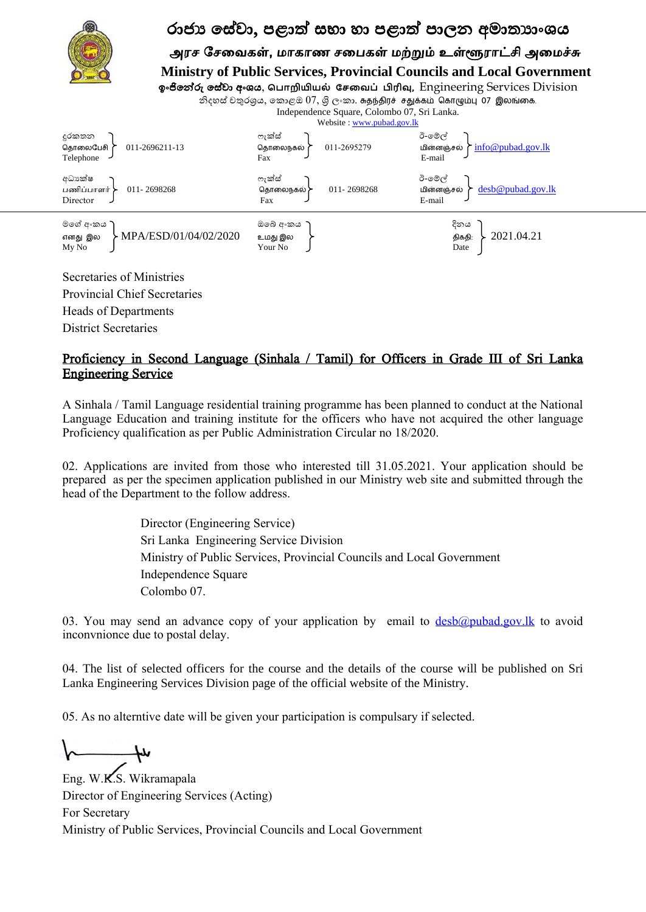

## රාජා සේවා, පළාත් සභා හා පළාත් පාලන අමාතාාංශය

அரச சேவைகள், மாகாண சபைகள் மற்றும் உள்ளூராட்சி அமைச்சு  **Ministry of Public Services, Provincial Councils and Local Government**

ඉාංජිමේරු මව ලළ අාංය, **ப ொறியியல் சேவை ் பிரிவு**, Engineering Services Division

නිදහස් චතුරශුය, කොළඔ 07, ශිලංකා. சுதந்திரச் சதுக்கம் கொழும்பு 07 இலங்கை. Independence Square, Colombo 07, Sri Lanka.



Heads of Departments

District Secretaries

## Proficiency in Second Language (Sinhala / Tamil) for Officers in Grade III of Sri Lanka Engineering Service

A Sinhala / Tamil Language residential training programme has been planned to conduct at the National Language Education and training institute for the officers who have not acquired the other language Proficiency qualification as per Public Administration Circular no 18/2020.

02. Applications are invited from those who interested till 31.05.2021. Your application should be prepared as per the specimen application published in our Ministry web site and submitted through the head of the Department to the follow address.

> Director (Engineering Service) Sri Lanka Engineering Service Division Ministry of Public Services, Provincial Councils and Local Government Independence Square Colombo 07.

03. You may send an advance copy of your application by email to  $d \frac{\text{desb}(a) \text{pubad.gov}$ . Ik to avoid inconvnionce due to postal delay.

04. The list of selected officers for the course and the details of the course will be published on Sri Lanka Engineering Services Division page of the official website of the Ministry.

05. As no alterntive date will be given your participation is compulsary if selected.

١

Eng. W.K.S. Wikramapala Director of Engineering Services (Acting) For Secretary Ministry of Public Services, Provincial Councils and Local Government